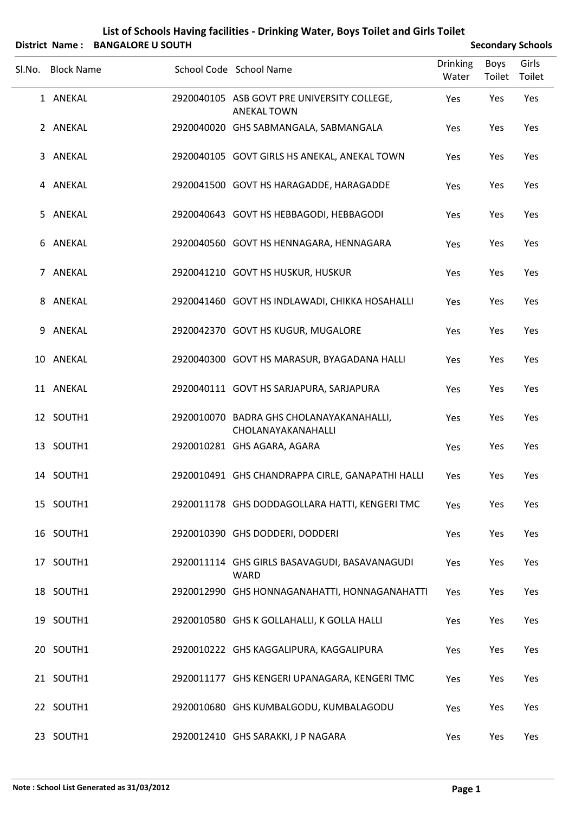| <b>District Name:</b> | <b>BANGALORE U SOUTH</b> |                                                                   |                          |                       | <b>Secondary Schools</b> |
|-----------------------|--------------------------|-------------------------------------------------------------------|--------------------------|-----------------------|--------------------------|
| Sl.No. Block Name     |                          | School Code School Name                                           | <b>Drinking</b><br>Water | <b>Boys</b><br>Toilet | Girls<br>Toilet          |
| 1 ANEKAL              |                          | 2920040105 ASB GOVT PRE UNIVERSITY COLLEGE,<br><b>ANEKAL TOWN</b> | Yes                      | Yes                   | Yes                      |
| 2 ANEKAL              |                          | 2920040020 GHS SABMANGALA, SABMANGALA                             | Yes                      | Yes                   | Yes                      |
| 3 ANEKAL              |                          | 2920040105 GOVT GIRLS HS ANEKAL, ANEKAL TOWN                      | Yes                      | Yes                   | Yes                      |
| 4 ANEKAL              |                          | 2920041500 GOVT HS HARAGADDE, HARAGADDE                           | Yes                      | Yes                   | Yes                      |
| 5 ANEKAL              |                          | 2920040643 GOVT HS HEBBAGODI, HEBBAGODI                           | Yes                      | Yes                   | Yes                      |
| 6 ANEKAL              |                          | 2920040560 GOVT HS HENNAGARA, HENNAGARA                           | Yes                      | Yes                   | Yes                      |
| 7 ANEKAL              |                          | 2920041210 GOVT HS HUSKUR, HUSKUR                                 | Yes                      | Yes                   | Yes                      |
| 8 ANEKAL              |                          | 2920041460 GOVT HS INDLAWADI, CHIKKA HOSAHALLI                    | Yes                      | Yes                   | Yes                      |
| 9 ANEKAL              |                          | 2920042370 GOVT HS KUGUR, MUGALORE                                | Yes                      | Yes                   | Yes                      |
| 10 ANEKAL             |                          | 2920040300 GOVT HS MARASUR, BYAGADANA HALLI                       | Yes                      | Yes                   | Yes                      |
| 11 ANEKAL             |                          | 2920040111 GOVT HS SARJAPURA, SARJAPURA                           | Yes                      | Yes                   | Yes                      |
| 12 SOUTH1             |                          | 2920010070 BADRA GHS CHOLANAYAKANAHALLI,<br>CHOLANAYAKANAHALLI    | Yes                      | Yes                   | Yes                      |
| 13 SOUTH1             |                          | 2920010281 GHS AGARA, AGARA                                       | Yes                      | Yes                   | Yes                      |
| 14 SOUTH1             |                          | 2920010491 GHS CHANDRAPPA CIRLE, GANAPATHI HALLI                  | Yes                      | Yes                   | Yes                      |
| 15 SOUTH1             |                          | 2920011178 GHS DODDAGOLLARA HATTI, KENGERI TMC                    | Yes                      | Yes                   | Yes                      |
| 16 SOUTH1             |                          | 2920010390 GHS DODDERI, DODDERI                                   | Yes                      | Yes                   | Yes                      |
| 17 SOUTH1             |                          | 2920011114 GHS GIRLS BASAVAGUDI, BASAVANAGUDI<br>WARD             | Yes                      | Yes                   | Yes                      |
| 18 SOUTH1             |                          | 2920012990 GHS HONNAGANAHATTI, HONNAGANAHATTI                     | Yes                      | Yes                   | Yes                      |
| 19 SOUTH1             |                          | 2920010580 GHS K GOLLAHALLI, K GOLLA HALLI                        | Yes                      | Yes                   | Yes                      |
| 20 SOUTH1             |                          | 2920010222 GHS KAGGALIPURA, KAGGALIPURA                           | Yes                      | Yes                   | Yes                      |
| 21 SOUTH1             |                          | 2920011177 GHS KENGERI UPANAGARA, KENGERI TMC                     | Yes                      | Yes                   | Yes                      |
| 22 SOUTH1             |                          | 2920010680 GHS KUMBALGODU, KUMBALAGODU                            | Yes                      | Yes                   | Yes                      |
| 23 SOUTH1             |                          | 2920012410 GHS SARAKKI, J P NAGARA                                | Yes                      | Yes                   | Yes                      |

## **List of Schools Having facilities ‐ Drinking Water, Boys Toilet and Girls Toilet**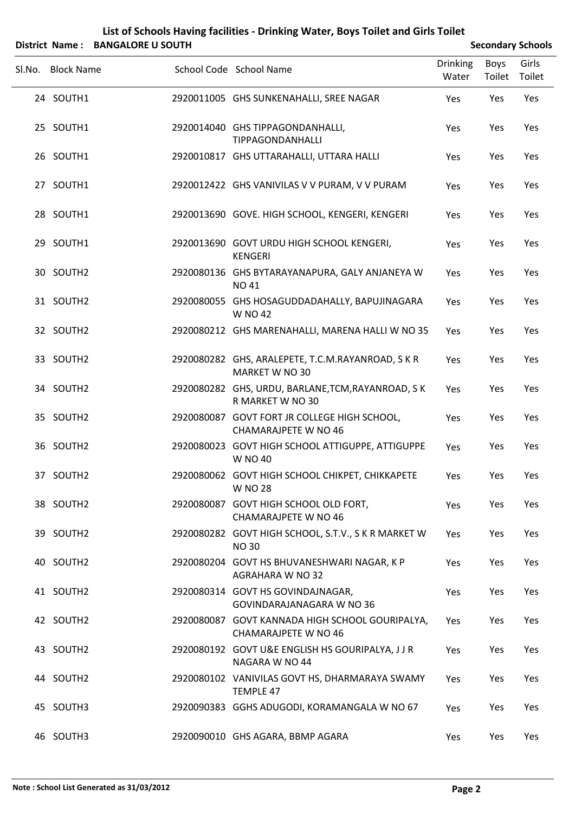| List of Schools Having facilities - Drinking Water, Boys Toilet and Girls Toilet |                          |  |
|----------------------------------------------------------------------------------|--------------------------|--|
| District Name: BANGALORE U SOUTH                                                 | <b>Secondary Schools</b> |  |

|                   |                                                                             |                          |                | SCCONGO Y SCHOOD |
|-------------------|-----------------------------------------------------------------------------|--------------------------|----------------|------------------|
| Sl.No. Block Name | School Code School Name                                                     | <b>Drinking</b><br>Water | Boys<br>Toilet | Girls<br>Toilet  |
| 24 SOUTH1         | 2920011005 GHS SUNKENAHALLI, SREE NAGAR                                     | Yes                      | Yes            | Yes              |
| 25 SOUTH1         | 2920014040 GHS TIPPAGONDANHALLI,<br>TIPPAGONDANHALLI                        | Yes                      | Yes            | Yes              |
| 26 SOUTH1         | 2920010817 GHS UTTARAHALLI, UTTARA HALLI                                    | Yes                      | Yes            | Yes              |
| 27 SOUTH1         | 2920012422 GHS VANIVILAS V V PURAM, V V PURAM                               | Yes                      | Yes            | Yes              |
| 28 SOUTH1         | 2920013690 GOVE. HIGH SCHOOL, KENGERI, KENGERI                              | Yes                      | Yes            | Yes              |
| 29 SOUTH1         | 2920013690 GOVT URDU HIGH SCHOOL KENGERI,<br><b>KENGERI</b>                 | Yes                      | Yes            | Yes              |
| 30 SOUTH2         | 2920080136 GHS BYTARAYANAPURA, GALY ANJANEYA W<br><b>NO41</b>               | Yes                      | Yes            | Yes              |
| 31 SOUTH2         | 2920080055 GHS HOSAGUDDADAHALLY, BAPUJINAGARA<br><b>W NO 42</b>             | Yes                      | Yes            | Yes              |
| 32 SOUTH2         | 2920080212 GHS MARENAHALLI, MARENA HALLI W NO 35                            | Yes                      | Yes            | Yes              |
| 33 SOUTH2         | 2920080282 GHS, ARALEPETE, T.C.M.RAYANROAD, SKR<br>MARKET W NO 30           | Yes                      | Yes            | Yes              |
| 34 SOUTH2         | 2920080282 GHS, URDU, BARLANE, TCM, RAYANROAD, SK<br>R MARKET W NO 30       | Yes                      | Yes            | Yes              |
| 35 SOUTH2         | 2920080087 GOVT FORT JR COLLEGE HIGH SCHOOL,<br><b>CHAMARAJPETE W NO 46</b> | Yes                      | Yes            | Yes              |
| 36 SOUTH2         | 2920080023 GOVT HIGH SCHOOL ATTIGUPPE, ATTIGUPPE<br><b>W NO 40</b>          | Yes                      | Yes            | Yes              |
| 37 SOUTH2         | 2920080062 GOVT HIGH SCHOOL CHIKPET, CHIKKAPETE<br><b>W NO 28</b>           | Yes                      | Yes            | Yes              |
| 38 SOUTH2         | 2920080087 GOVT HIGH SCHOOL OLD FORT,<br>CHAMARAJPETE W NO 46               | Yes                      | Yes            | Yes              |
| 39 SOUTH2         | 2920080282 GOVT HIGH SCHOOL, S.T.V., S K R MARKET W<br><b>NO30</b>          | Yes                      | Yes            | Yes              |
| 40 SOUTH2         | 2920080204 GOVT HS BHUVANESHWARI NAGAR, K P<br><b>AGRAHARA W NO 32</b>      | Yes                      | Yes            | Yes              |
| 41 SOUTH2         | 2920080314 GOVT HS GOVINDAJNAGAR,<br>GOVINDARAJANAGARA W NO 36              | Yes                      | Yes            | Yes              |
| 42 SOUTH2         | 2920080087 GOVT KANNADA HIGH SCHOOL GOURIPALYA,<br>CHAMARAJPETE W NO 46     | Yes                      | Yes            | Yes              |
| 43 SOUTH2         | 2920080192 GOVT U&E ENGLISH HS GOURIPALYA, JJR<br>NAGARA W NO 44            | Yes                      | Yes            | Yes              |
| 44 SOUTH2         | 2920080102 VANIVILAS GOVT HS, DHARMARAYA SWAMY<br><b>TEMPLE 47</b>          | Yes                      | Yes            | Yes              |
| 45 SOUTH3         | 2920090383 GGHS ADUGODI, KORAMANGALA W NO 67                                | Yes                      | Yes            | Yes              |
| 46 SOUTH3         | 2920090010 GHS AGARA, BBMP AGARA                                            | Yes                      | Yes            | Yes              |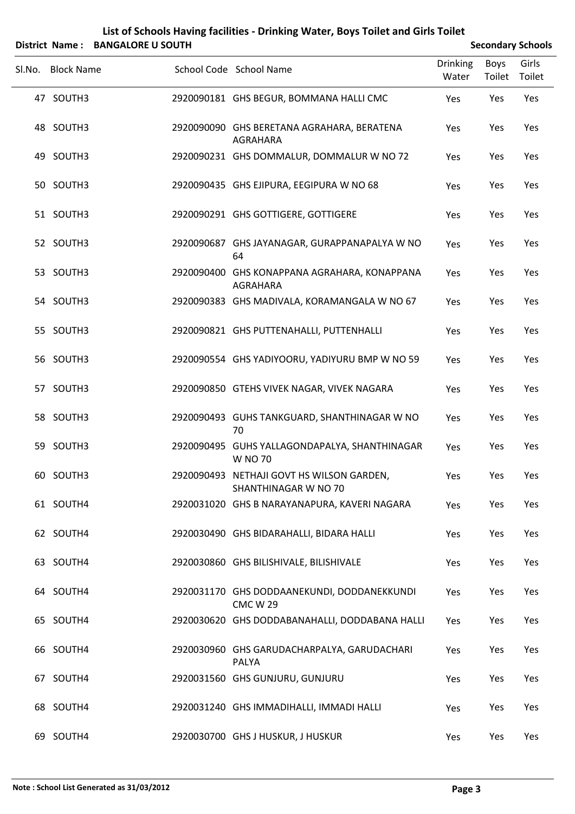| Sl.No. Block Name | School Code School Name                                           | <b>Drinking</b><br>Water | Boys<br>Toilet | Girls<br>Toilet |
|-------------------|-------------------------------------------------------------------|--------------------------|----------------|-----------------|
| 47 SOUTH3         | 2920090181 GHS BEGUR, BOMMANA HALLI CMC                           | Yes                      | Yes            | Yes             |
| 48 SOUTH3         | 2920090090 GHS BERETANA AGRAHARA, BERATENA<br>AGRAHARA            | Yes                      | Yes            | Yes             |
| 49 SOUTH3         | 2920090231 GHS DOMMALUR, DOMMALUR W NO 72                         | Yes                      | Yes            | Yes             |
| 50 SOUTH3         | 2920090435 GHS EJIPURA, EEGIPURA W NO 68                          | Yes                      | Yes            | Yes             |
| 51 SOUTH3         | 2920090291 GHS GOTTIGERE, GOTTIGERE                               | Yes                      | Yes            | Yes             |
| 52 SOUTH3         | 2920090687 GHS JAYANAGAR, GURAPPANAPALYA W NO<br>64               | Yes                      | Yes            | Yes             |
| 53 SOUTH3         | 2920090400 GHS KONAPPANA AGRAHARA, KONAPPANA<br>AGRAHARA          | Yes                      | Yes            | Yes             |
| 54 SOUTH3         | 2920090383 GHS MADIVALA, KORAMANGALA W NO 67                      | Yes                      | Yes            | Yes             |
| 55 SOUTH3         | 2920090821 GHS PUTTENAHALLI, PUTTENHALLI                          | Yes                      | Yes            | Yes             |
| 56 SOUTH3         | 2920090554 GHS YADIYOORU, YADIYURU BMP W NO 59                    | Yes                      | Yes            | Yes             |
| 57 SOUTH3         | 2920090850 GTEHS VIVEK NAGAR, VIVEK NAGARA                        | Yes                      | Yes            | Yes             |
| 58 SOUTH3         | 2920090493 GUHS TANKGUARD, SHANTHINAGAR W NO<br>70                | Yes                      | Yes            | Yes             |
| 59 SOUTH3         | 2920090495 GUHS YALLAGONDAPALYA, SHANTHINAGAR<br>W NO 70          | Yes                      | Yes            | Yes             |
| 60 SOUTH3         | 2920090493 NETHAJI GOVT HS WILSON GARDEN,<br>SHANTHINAGAR W NO 70 | Yes                      | Yes            | Yes             |
| 61 SOUTH4         | 2920031020 GHS B NARAYANAPURA, KAVERI NAGARA                      | Yes                      | Yes            | Yes             |
| 62 SOUTH4         | 2920030490 GHS BIDARAHALLI, BIDARA HALLI                          | Yes                      | Yes            | Yes             |
| 63 SOUTH4         | 2920030860 GHS BILISHIVALE, BILISHIVALE                           | Yes                      | Yes            | Yes             |
| 64 SOUTH4         | 2920031170 GHS DODDAANEKUNDI, DODDANEKKUNDI<br><b>CMC W 29</b>    | Yes                      | Yes            | Yes             |
| 65 SOUTH4         | 2920030620 GHS DODDABANAHALLI, DODDABANA HALLI                    | Yes                      | Yes            | Yes             |
| 66 SOUTH4         | 2920030960 GHS GARUDACHARPALYA, GARUDACHARI<br>PALYA              | Yes                      | Yes            | Yes             |
| 67 SOUTH4         | 2920031560 GHS GUNJURU, GUNJURU                                   | Yes                      | Yes            | Yes             |
| 68 SOUTH4         | 2920031240 GHS IMMADIHALLI, IMMADI HALLI                          | Yes                      | Yes            | Yes             |

69 SOUTH4 2920030700 GHS J HUSKUR, J HUSKUR Ves Yes Yes Yes

## **List of Schools Having facilities ‐ Drinking Water, Boys Toilet and Girls Toilet District Name:** BANGALORE U SOUTH **Secondary** Schools